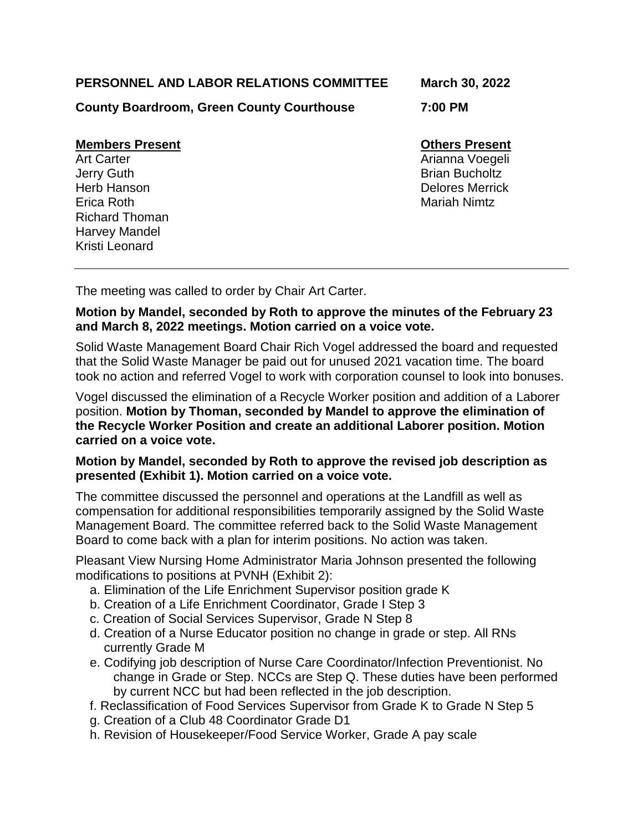# **PERSONNEL AND LABOR RELATIONS COMMITTEE March 30, 2022**

**County Boardroom, Green County Courthouse 7:00 PM**

### **Members Present Communist Present Communist Present Communist Present**

**Jerry Guth Brian Bucholtz** Herb Hanson Delores Merrick Erica Roth Mariah Nimtz Richard Thoman Harvey Mandel Kristi Leonard

Art Carter **Arianna Voegeli Arianna Voegeli Arianna Voegeli Arianna** Voegeli

The meeting was called to order by Chair Art Carter.

# **Motion by Mandel, seconded by Roth to approve the minutes of the February 23 and March 8, 2022 meetings. Motion carried on a voice vote.**

Solid Waste Management Board Chair Rich Vogel addressed the board and requested that the Solid Waste Manager be paid out for unused 2021 vacation time. The board took no action and referred Vogel to work with corporation counsel to look into bonuses.

Vogel discussed the elimination of a Recycle Worker position and addition of a Laborer position. **Motion by Thoman, seconded by Mandel to approve the elimination of the Recycle Worker Position and create an additional Laborer position. Motion carried on a voice vote.** 

# **Motion by Mandel, seconded by Roth to approve the revised job description as presented (Exhibit 1). Motion carried on a voice vote.**

The committee discussed the personnel and operations at the Landfill as well as compensation for additional responsibilities temporarily assigned by the Solid Waste Management Board. The committee referred back to the Solid Waste Management Board to come back with a plan for interim positions. No action was taken.

Pleasant View Nursing Home Administrator Maria Johnson presented the following modifications to positions at PVNH (Exhibit 2):

- a. Elimination of the Life Enrichment Supervisor position grade K
- b. Creation of a Life Enrichment Coordinator, Grade I Step 3
- c. Creation of Social Services Supervisor, Grade N Step 8
- d. Creation of a Nurse Educator position no change in grade or step. All RNs currently Grade M
- e. Codifying job description of Nurse Care Coordinator/Infection Preventionist. No change in Grade or Step. NCCs are Step Q. These duties have been performed by current NCC but had been reflected in the job description.
- f. Reclassification of Food Services Supervisor from Grade K to Grade N Step 5
- g. Creation of a Club 48 Coordinator Grade D1
- h. Revision of Housekeeper/Food Service Worker, Grade A pay scale